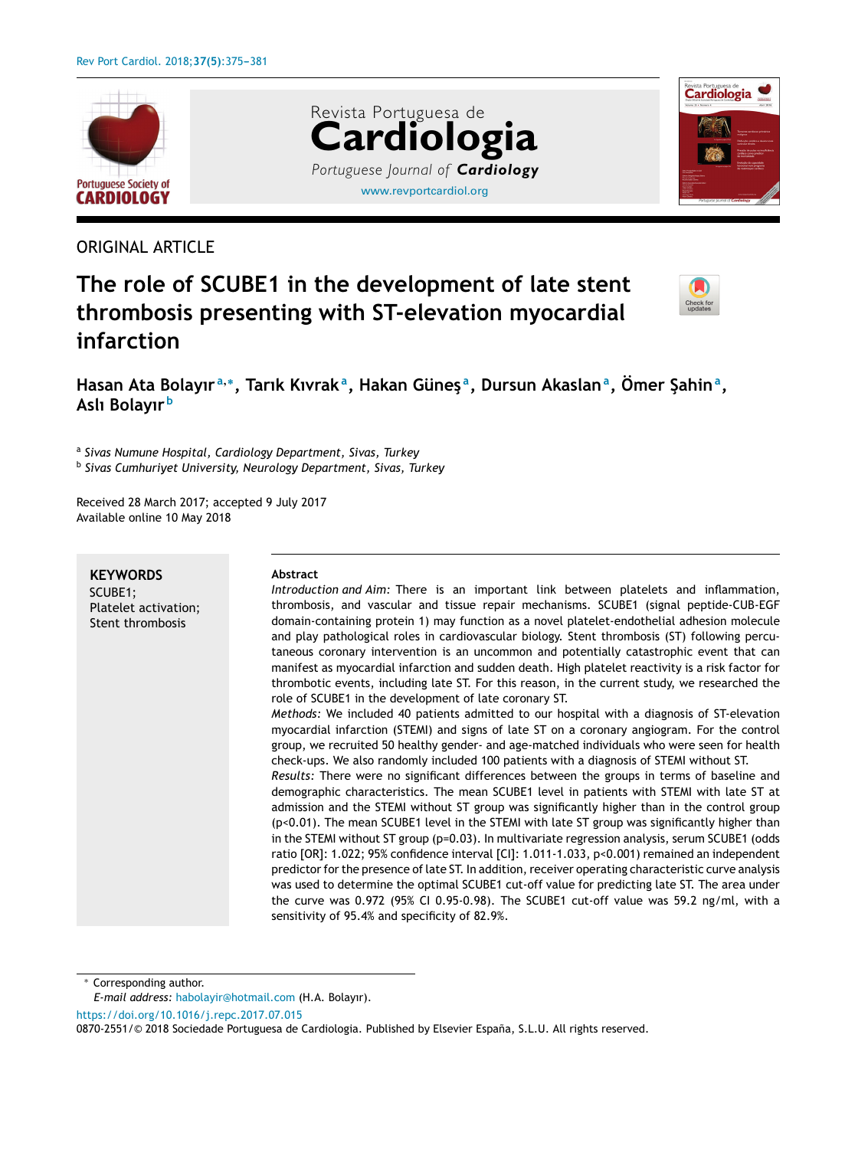

# ORIGINAL ARTICLE

# [www.revportcardiol.org](http://www.revportcardiol.org) Revista Portuguesa de **Cardiologia** *Portuguese Journal of Cardiology*



# **The role of SCUBE1 in the development of late stent thrombosis presenting with ST-elevation myocardial infarction**



Hasan Ata Bolayır<sup>a,</sup>\*, Tarık Kıvrak<sup>a</sup>, Hakan Güneş<sup>a</sup>, Dursun Akaslan<sup>a</sup>, Ömer Şahin<sup>a</sup>, **Aslı Bolayır <sup>b</sup>**

a *Sivas Numune Hospital, Cardiology Department, Sivas, Turkey*

b *Sivas Cumhuriyet University, Neurology Department, Sivas, Turkey*

Received 28 March 2017; accepted 9 July 2017 Available online 10 May 2018

**KEYWORDS** SCUBE1; Platelet activation; Stent thrombosis

#### **Abstract**

*Introduction and Aim:* There is an important link between platelets and inflammation, thrombosis, and vascular and tissue repair mechanisms. SCUBE1 (signal peptide-CUB-EGF domain-containing protein 1) may function as a novel platelet-endothelial adhesion molecule and play pathological roles in cardiovascular biology. Stent thrombosis (ST) following percutaneous coronary intervention is an uncommon and potentially catastrophic event that can manifest as myocardial infarction and sudden death. High platelet reactivity is a risk factor for thrombotic events, including late ST. For this reason, in the current study, we researched the role of SCUBE1 in the development of late coronary ST. *Methods:* We included 40 patients admitted to our hospital with a diagnosis of ST-elevation

myocardial infarction (STEMI) and signs of late ST on a coronary angiogram. For the control group, we recruited 50 healthy gender- and age-matched individuals who were seen for health check-ups. We also randomly included 100 patients with a diagnosis of STEMI without ST.

*Results:* There were no significant differences between the groups in terms of baseline and demographic characteristics. The mean SCUBE1 level in patients with STEMI with late ST at admission and the STEMI without ST group was significantly higher than in the control group (p<0.01). The mean SCUBE1 level in the STEMI with late ST group was significantly higher than in the STEMI without ST group (p=0.03). In multivariate regression analysis, serum SCUBE1 (odds ratio [OR]: 1.022; 95% confidence interval [CI]: 1.011-1.033, p<0.001) remained an independent predictor for the presence of late ST. In addition, receiver operating characteristic curve analysis was used to determine the optimal SCUBE1 cut-off value for predicting late ST. The area under the curve was 0.972 (95% CI 0.95-0.98). The SCUBE1 cut-off value was 59.2 ng/ml, with a sensitivity of 95.4% and specificity of 82.9%.

Corresponding author.

<https://doi.org/10.1016/j.repc.2017.07.015>

*E-mail address:* [habolayir@hotmail.com](mailto:habolayir@hotmail.com) (H.A. Bolayır).

<sup>0870-2551/© 2018</sup> Sociedade Portuguesa de Cardiologia. Published by Elsevier España, S.L.U. All rights reserved.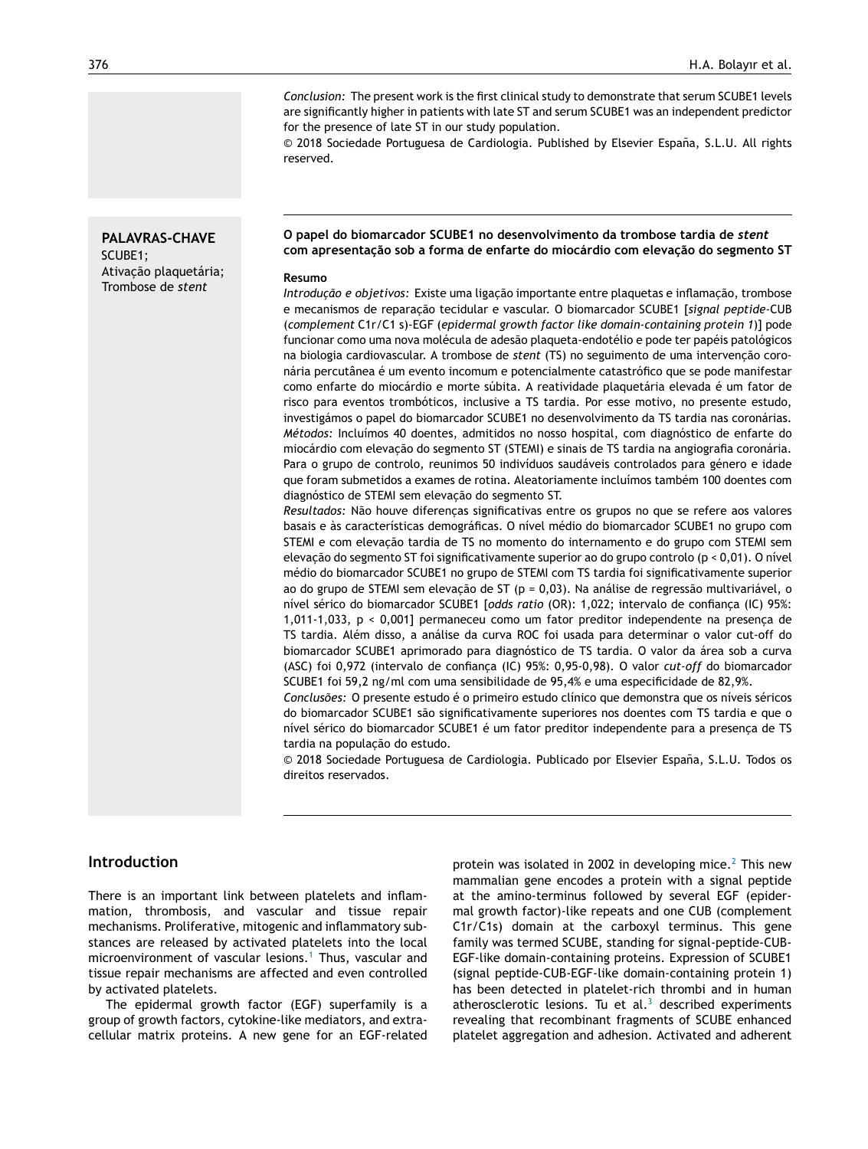*Conclusion:* The present work is the first clinical study to demonstrate that serum SCUBE1 levels are significantly higher in patients with late ST and serum SCUBE1 was an independent predictor for the presence of late ST in our study population.

© 2018 Sociedade Portuguesa de Cardiologia. Published by Elsevier España, S.L.U. All rights reserved.

#### **PALAVRAS-CHAVE** SCUBE1;

Ativacão plaquetária; Trombose de *stent*

#### **O papel do biomarcador SCUBE1 no desenvolvimento da trombose tardia de** *stent* **com apresentac¸ão sob a forma de enfarte do miocárdio com elevac¸ão do segmento ST**

#### **Resumo**

*Introducão e objetivos:* Existe uma ligação importante entre plaquetas e inflamação, trombose e mecanismos de reparac¸ão tecidular e vascular. O biomarcador SCUBE1 [*signal peptide*-CUB (*complement* C1r/C1 s)-EGF (*epidermal growth factor like domain-containing protein 1*)] pode funcionar como uma nova molécula de adesão plaqueta-endotélio e pode ter papéis patológicos na biologia cardiovascular. A trombose de *stent* (TS) no seguimento de uma intervenção coronária percutânea é um evento incomum e potencialmente catastrófico que se pode manifestar como enfarte do miocárdio e morte súbita. A reatividade plaquetária elevada é um fator de risco para eventos trombóticos, inclusive a TS tardia. Por esse motivo, no presente estudo, investigámos o papel do biomarcador SCUBE1 no desenvolvimento da TS tardia nas coronárias. *Métodos:* Incluímos 40 doentes, admitidos no nosso hospital, com diagnóstico de enfarte do miocárdio com elevação do segmento ST (STEMI) e sinais de TS tardia na angiografia coronária. Para o grupo de controlo, reunimos 50 indivíduos saudáveis controlados para género e idade que foram submetidos a exames de rotina. Aleatoriamente incluímos também 100 doentes com diagnóstico de STEMI sem elevação do segmento ST.

Resultados: Não houve diferenças significativas entre os grupos no que se refere aos valores basais e às características demográficas. O nível médio do biomarcador SCUBE1 no grupo com STEMI e com elevação tardia de TS no momento do internamento e do grupo com STEMI sem elevação do segmento ST foi significativamente superior ao do grupo controlo ( $p < 0.01$ ). O nível médio do biomarcador SCUBE1 no grupo de STEMI com TS tardia foi significativamente superior ao do grupo de STEMI sem elevação de ST ( $p = 0.03$ ). Na análise de regressão multivariável, o nível sérico do biomarcador SCUBE1 [odds ratio (OR): 1,022; intervalo de confiança (IC) 95%: 1,011-1,033,  $p < 0,001$ ] permaneceu como um fator preditor independente na presença de TS tardia. Além disso, a análise da curva ROC foi usada para determinar o valor cut-off do biomarcador SCUBE1 aprimorado para diagnóstico de TS tardia. O valor da área sob a curva (ASC) foi 0,972 (intervalo de confiança (IC) 95%: 0,95-0,98). O valor *cut-off* do biomarcador SCUBE1 foi 59,2 ng/ml com uma sensibilidade de 95,4% e uma especificidade de 82,9%.

*Conclusões:* O presente estudo é o primeiro estudo clínico que demonstra que os níveis séricos do biomarcador SCUBE1 são significativamente superiores nos doentes com TS tardia e que o nível sérico do biomarcador SCUBE1 é um fator preditor independente para a presença de TS tardia na população do estudo.

© 2018 Sociedade Portuguesa de Cardiologia. Publicado por Elsevier España, S.L.U. Todos os direitos reservados.

#### **Introduction**

There is an important link between platelets and inflammation, thrombosis, and vascular and tissue repair mechanisms. Proliferative, mitogenic and inflammatory substances are released by activated platelets into the local microenvironment of vascular lesions.<sup>[1](#page-5-0)</sup> Thus, vascular and tissue repair mechanisms are affected and even controlled by activated platelets.

The epidermal growth factor (EGF) superfamily is a group of growth factors, cytokine-like mediators, and extracellular matrix proteins. A new gene for an EGF-related protein was isolated in [2](#page-5-0)002 in developing mice. $2$  This new mammalian gene encodes a protein with a signal peptide at the amino-terminus followed by several EGF (epidermal growth factor)-like repeats and one CUB (complement C1r/C1s) domain at the carboxyl terminus. This gene family was termed SCUBE, standing for signal-peptide-CUB-EGF-like domain-containing proteins. Expression of SCUBE1 (signal peptide-CUB-EGF-like domain-containing protein 1) has been detected in platelet-rich thrombi and in human atherosclerotic lesions. Tu et al. $3$  described experiments revealing that recombinant fragments of SCUBE enhanced platelet aggregation and adhesion. Activated and adherent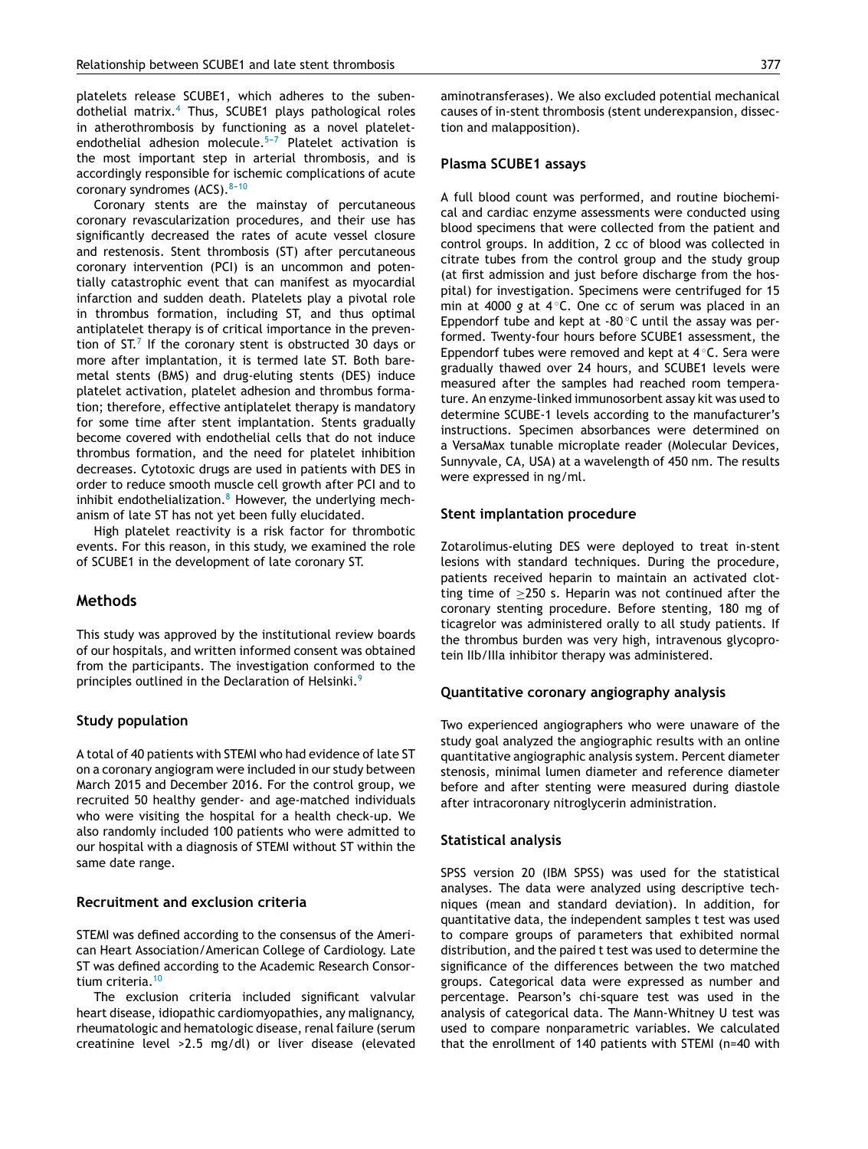platelets release SCUBE1, which adheres to the subendothelial matrix.[4](#page-5-0) Thus, SCUBE1 plays pathological roles in atherothrombosis by functioning as a novel plateletendothelial adhesion molecule. $5-7$  Platelet activation is the most important step in arterial thrombosis, and is accordingly responsible for ischemic complications of acute coronary syndromes (ACS).  $8-10$ 

Coronary stents are the mainstay of percutaneous coronary revascularization procedures, and their use has significantly decreased the rates of acute vessel closure and restenosis. Stent thrombosis (ST) after percutaneous coronary intervention (PCI) is an uncommon and potentially catastrophic event that can manifest as myocardial infarction and sudden death. Platelets play a pivotal role in thrombus formation, including ST, and thus optimal antiplatelet therapy is of critical importance in the prevention of ST. $^7$  $^7$  If the coronary stent is obstructed 30 days or more after implantation, it is termed late ST. Both baremetal stents (BMS) and drug-eluting stents (DES) induce platelet activation, platelet adhesion and thrombus formation; therefore, effective antiplatelet therapy is mandatory for some time after stent implantation. Stents gradually become covered with endothelial cells that do not induce thrombus formation, and the need for platelet inhibition decreases. Cytotoxic drugs are used in patients with DES in order to reduce smooth muscle cell growth after PCI and to inhibit endothelialization. $8$  However, the underlying mechanism of late ST has not yet been fully elucidated.

High platelet reactivity is a risk factor for thrombotic events. For this reason, in this study, we examined the role of SCUBE1 in the development of late coronary ST.

#### **Methods**

This study was approved by the institutional review boards of our hospitals, and written informed consent was obtained from the participants. The investigation conformed to the principles outlined in the Declaration of Helsinki.<sup>[9](#page-6-0)</sup>

#### **Study population**

A total of 40 patients with STEMI who had evidence of late ST on a coronary angiogram were included in our study between March 2015 and December 2016. For the control group, we recruited 50 healthy gender- and age-matched individuals who were visiting the hospital for a health check-up. We also randomly included 100 patients who were admitted to our hospital with a diagnosis of STEMI without ST within the same date range.

#### **Recruitment and exclusion criteria**

STEMI was defined according to the consensus of the American Heart Association/American College of Cardiology. Late ST was defined according to the Academic Research Consor-tium criteria.<sup>[10](#page-6-0)</sup>

The exclusion criteria included significant valvular heart disease, idiopathic cardiomyopathies, any malignancy, rheumatologic and hematologic disease, renal failure (serum creatinine level >2.5 mg/dl) or liver disease (elevated aminotransferases). We also excluded potential mechanical causes of in-stent thrombosis (stent underexpansion, dissection and malapposition).

#### **Plasma SCUBE1 assays**

A full blood count was performed, and routine biochemical and cardiac enzyme assessments were conducted using blood specimens that were collected from the patient and control groups. In addition, 2 cc of blood was collected in citrate tubes from the control group and the study group (at first admission and just before discharge from the hospital) for investigation. Specimens were centrifuged for 15 min at 4000 g at 4°C. One cc of serum was placed in an Eppendorf tube and kept at  $-80^\circ$ C until the assay was performed. Twenty-four hours before SCUBE1 assessment, the Eppendorf tubes were removed and kept at 4 ◦C. Sera were gradually thawed over 24 hours, and SCUBE1 levels were measured after the samples had reached room temperature. An enzyme-linked immunosorbent assay kit was used to determine SCUBE-1 levels according to the manufacturer's instructions. Specimen absorbances were determined on a VersaMax tunable microplate reader (Molecular Devices, Sunnyvale, CA, USA) at a wavelength of 450 nm. The results were expressed in ng/ml.

#### **Stent implantation procedure**

Zotarolimus-eluting DES were deployed to treat in-stent lesions with standard techniques. During the procedure, patients received heparin to maintain an activated clotting time of  $\geq$ 250 s. Heparin was not continued after the coronary stenting procedure. Before stenting, 180 mg of ticagrelor was administered orally to all study patients. If the thrombus burden was very high, intravenous glycoprotein IIb/IIIa inhibitor therapy was administered.

#### **Quantitative coronary angiography analysis**

Two experienced angiographers who were unaware of the study goal analyzed the angiographic results with an online quantitative angiographic analysis system. Percent diameter stenosis, minimal lumen diameter and reference diameter before and after stenting were measured during diastole after intracoronary nitroglycerin administration.

#### **Statistical analysis**

SPSS version 20 (IBM SPSS) was used for the statistical analyses. The data were analyzed using descriptive techniques (mean and standard deviation). In addition, for quantitative data, the independent samples t test was used to compare groups of parameters that exhibited normal distribution, and the paired t test was used to determine the significance of the differences between the two matched groups. Categorical data were expressed as number and percentage. Pearson's chi-square test was used in the analysis of categorical data. The Mann-Whitney U test was used to compare nonparametric variables. We calculated that the enrollment of 140 patients with STEMI (n=40 with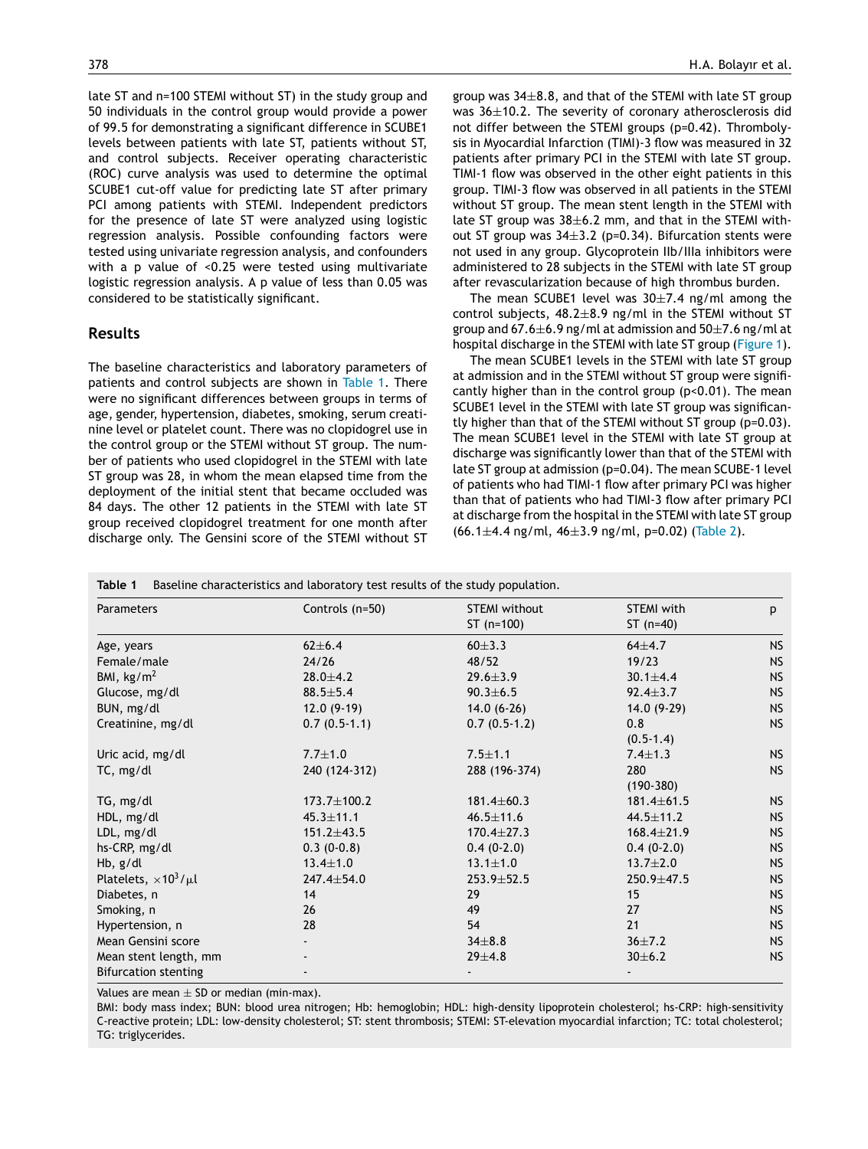late ST and n=100 STEMI without ST) in the study group and 50 individuals in the control group would provide a power of 99.5 for demonstrating a significant difference in SCUBE1 levels between patients with late ST, patients without ST, and control subjects. Receiver operating characteristic (ROC) curve analysis was used to determine the optimal SCUBE1 cut-off value for predicting late ST after primary PCI among patients with STEMI. Independent predictors for the presence of late ST were analyzed using logistic regression analysis. Possible confounding factors were tested using univariate regression analysis, and confounders with a p value of <0.25 were tested using multivariate logistic regression analysis. A p value of less than 0.05 was considered to be statistically significant.

#### **Results**

The baseline characteristics and laboratory parameters of patients and control subjects are shown in Table 1. There were no significant differences between groups in terms of age, gender, hypertension, diabetes, smoking, serum creatinine level or platelet count. There was no clopidogrel use in the control group or the STEMI without ST group. The number of patients who used clopidogrel in the STEMI with late ST group was 28, in whom the mean elapsed time from the deployment of the initial stent that became occluded was 84 days. The other 12 patients in the STEMI with late ST group received clopidogrel treatment for one month after discharge only. The Gensini score of the STEMI without ST

group was  $34\pm8.8$ , and that of the STEMI with late ST group was 36±10.2. The severity of coronary atherosclerosis did not differ between the STEMI groups (p=0.42). Thrombolysis in Myocardial Infarction (TIMI)-3 flow was measured in 32 patients after primary PCI in the STEMI with late ST group. TIMI-1 flow was observed in the other eight patients in this group. TIMI-3 flow was observed in all patients in the STEMI without ST group. The mean stent length in the STEMI with late ST group was  $38\pm6.2$  mm, and that in the STEMI without ST group was  $34\pm3.2$  (p=0.34). Bifurcation stents were not used in any group. Glycoprotein IIb/IIIa inhibitors were administered to 28 subjects in the STEMI with late ST group after revascularization because of high thrombus burden.

The mean SCUBE1 level was  $30\pm7.4$  ng/ml among the control subjects,  $48.2 \pm 8.9$  ng/ml in the STEMI without ST group and 67.6 $\pm$ 6.9 ng/ml at admission and 50 $\pm$ 7.6 ng/ml at hospital discharge in the STEMI with late ST group ([Figure](#page-4-0) 1).

The mean SCUBE1 levels in the STEMI with late ST group at admission and in the STEMI without ST group were significantly higher than in the control group (p<0.01). The mean SCUBE1 level in the STEMI with late ST group was significantly higher than that of the STEMI without ST group (p=0.03). The mean SCUBE1 level in the STEMI with late ST group at discharge was significantly lower than that of the STEMI with late ST group at admission (p=0.04). The mean SCUBE-1 level of patients who had TIMI-1 flow after primary PCI was higher than that of patients who had TIMI-3 flow after primary PCI at discharge from the hospital in the STEMI with late ST group (66.1±4.4 ng/ml, 46±3.9 ng/ml, p=0.02) [\(Table](#page-4-0) 2).

| Baseline characteristics and laboratory test results of the study population.<br>Table 1 |                  |                      |                   |           |  |  |
|------------------------------------------------------------------------------------------|------------------|----------------------|-------------------|-----------|--|--|
| Parameters                                                                               | Controls (n=50)  | <b>STEMI</b> without | <b>STEMI</b> with | p         |  |  |
|                                                                                          |                  | $ST(n=100)$          | ST $(n=40)$       |           |  |  |
| Age, years                                                                               | $62 \pm 6.4$     | $60 + 3.3$           | $64 + 4.7$        | <b>NS</b> |  |  |
| Female/male                                                                              | 24/26            | 48/52                | 19/23             | <b>NS</b> |  |  |
| BMI, $\text{kg/m}^2$                                                                     | $28.0 + 4.2$     | $29.6 \pm 3.9$       | $30.1 \pm 4.4$    | <b>NS</b> |  |  |
| Glucose, mg/dl                                                                           | $88.5 \pm 5.4$   | $90.3 \pm 6.5$       | $92.4 \pm 3.7$    | <b>NS</b> |  |  |
| BUN, mg/dl                                                                               | $12.0(9-19)$     | $14.0(6-26)$         | $14.0(9-29)$      | <b>NS</b> |  |  |
| Creatinine, mg/dl                                                                        | $0.7(0.5-1.1)$   | $0.7(0.5-1.2)$       | 0.8               | <b>NS</b> |  |  |
|                                                                                          |                  |                      | $(0.5-1.4)$       |           |  |  |
| Uric acid, mg/dl                                                                         | $7.7 \pm 1.0$    | $7.5 \pm 1.1$        | $7.4 \pm 1.3$     | <b>NS</b> |  |  |
| TC, mg/dl                                                                                | 240 (124-312)    | 288 (196-374)        | 280               | <b>NS</b> |  |  |
|                                                                                          |                  |                      | $(190-380)$       |           |  |  |
| TG, mg/dl                                                                                | 173.7±100.2      | $181.4 \pm 60.3$     | $181.4 \pm 61.5$  | <b>NS</b> |  |  |
| HDL, mg/dl                                                                               | $45.3 \pm 11.1$  | $46.5 \pm 11.6$      | $44.5 \pm 11.2$   | <b>NS</b> |  |  |
| LDL, mg/dl                                                                               | $151.2 \pm 43.5$ | $170.4 \pm 27.3$     | $168.4 \pm 21.9$  | <b>NS</b> |  |  |
| hs-CRP, mg/dl                                                                            | $0.3(0-0.8)$     | $0.4(0-2.0)$         | $0.4(0-2.0)$      | <b>NS</b> |  |  |
| Hb, g/dl                                                                                 | $13.4 \pm 1.0$   | $13.1 \pm 1.0$       | $13.7 \pm 2.0$    | <b>NS</b> |  |  |
| Platelets, $\times 10^3/\mu l$                                                           | 247.4±54.0       | 253.9±52.5           | 250.9 ±47.5       | <b>NS</b> |  |  |
| Diabetes, n                                                                              | 14               | 29                   | 15                | <b>NS</b> |  |  |
| Smoking, n                                                                               | 26               | 49                   | 27                | <b>NS</b> |  |  |
| Hypertension, n                                                                          | 28               | 54                   | 21                | <b>NS</b> |  |  |
| Mean Gensini score                                                                       |                  | $34\pm8.8$           | $36 \pm 7.2$      | <b>NS</b> |  |  |
| Mean stent length, mm                                                                    |                  | $29 + 4.8$           | 30±6.2            | <b>NS</b> |  |  |
| <b>Bifurcation stenting</b>                                                              |                  |                      |                   |           |  |  |

Values are mean  $\pm$  SD or median (min-max).

BMI: body mass index; BUN: blood urea nitrogen; Hb: hemoglobin; HDL: high-density lipoprotein cholesterol; hs-CRP: high-sensitivity C-reactive protein; LDL: low-density cholesterol; ST: stent thrombosis; STEMI: ST-elevation myocardial infarction; TC: total cholesterol; TG: triglycerides.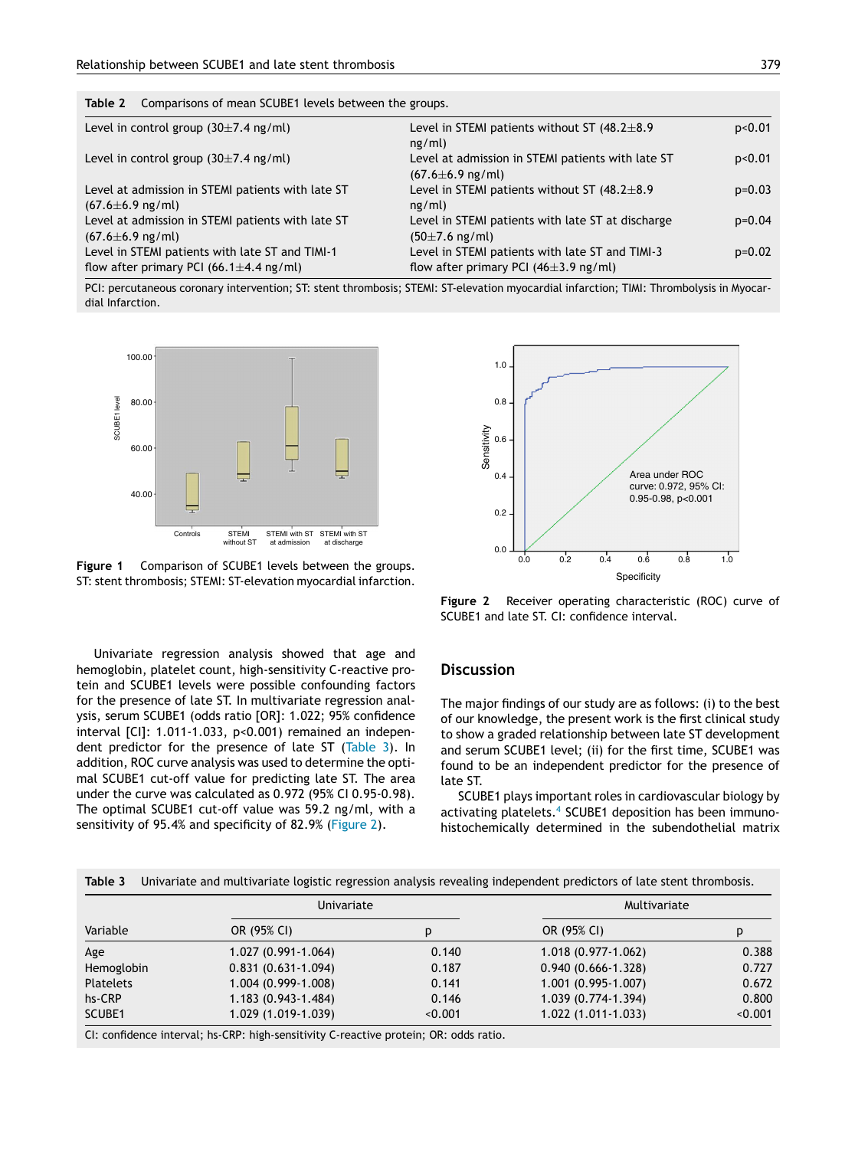<span id="page-4-0"></span>**Table 2** Comparisons of mean SCUBE1 levels between the groups.

| Level in control group $(30\pm7.4 \text{ ng/ml})$                                                | Level in STEMI patients without ST $(48.2 \pm 8.9)$<br>ng/ml)                                 | p<0.01   |
|--------------------------------------------------------------------------------------------------|-----------------------------------------------------------------------------------------------|----------|
| Level in control group $(30\pm7.4 \text{ ng/ml})$                                                | Level at admission in STEMI patients with late ST<br>$(67.6 \pm 6.9 \text{ ng/ml})$           | p<0.01   |
| Level at admission in STEMI patients with late ST<br>$(67.6 \pm 6.9 \text{ ng/ml})$              | Level in STEMI patients without ST $(48.2 \pm 8.9)$<br>ng/ml)                                 | $p=0.03$ |
| Level at admission in STEMI patients with late ST<br>$(67.6 \pm 6.9 \text{ ng/ml})$              | Level in STEMI patients with late ST at discharge<br>$(50\pm7.6 \text{ ng/ml})$               | $p=0.04$ |
| Level in STEMI patients with late ST and TIMI-1<br>flow after primary PCI (66.1 $\pm$ 4.4 ng/ml) | Level in STEMI patients with late ST and TIMI-3<br>flow after primary PCI ( $46\pm3.9$ ng/ml) | $p=0.02$ |

PCI: percutaneous coronary intervention; ST: stent thrombosis; STEMI: ST-elevation myocardial infarction; TIMI: Thrombolysis in Myocardial Infarction.



**Figure 1** Comparison of SCUBE1 levels between the groups. ST: stent thrombosis; STEMI: ST-elevation myocardial infarction.

Univariate regression analysis showed that age and hemoglobin, platelet count, high-sensitivity C-reactive protein and SCUBE1 levels were possible confounding factors for the presence of late ST. In multivariate regression analysis, serum SCUBE1 (odds ratio [OR]: 1.022; 95% confidence interval [CI]: 1.011-1.033, p<0.001) remained an independent predictor for the presence of late ST (Table 3). In addition, ROC curve analysis was used to determine the optimal SCUBE1 cut-off value for predicting late ST. The area under the curve was calculated as 0.972 (95% CI 0.95-0.98). The optimal SCUBE1 cut-off value was 59.2 ng/ml, with a sensitivity of 95.4% and specificity of 82.9% (Figure 2).



**Figure 2** Receiver operating characteristic (ROC) curve of SCUBE1 and late ST. CI: confidence interval.

### **Discussion**

The major findings of our study are as follows: (i) to the best of our knowledge, the present work is the first clinical study to show a graded relationship between late ST development and serum SCUBE1 level; (ii) for the first time, SCUBE1 was found to be an independent predictor for the presence of late ST.

SCUBE1 plays important roles in cardiovascular biology by activating platelets.<sup>[4](#page-5-0)</sup> SCUBE1 deposition has been immunohistochemically determined in the subendothelial matrix

|                  | Univariate                                                                            |         | Multivariate           |         |
|------------------|---------------------------------------------------------------------------------------|---------|------------------------|---------|
| Variable         | OR (95% CI)                                                                           | p       | OR (95% CI)            | p       |
| Age              | 1.027 (0.991-1.064)                                                                   | 0.140   | 1.018 (0.977-1.062)    | 0.388   |
| Hemoglobin       | $0.831(0.631-1.094)$                                                                  | 0.187   | $0.940(0.666 - 1.328)$ | 0.727   |
| <b>Platelets</b> | 1.004 (0.999-1.008)                                                                   | 0.141   | 1.001 (0.995-1.007)    | 0.672   |
| hs-CRP           | 1.183 (0.943-1.484)                                                                   | 0.146   | 1.039 (0.774-1.394)    | 0.800   |
| SCUBE1           | 1.029 (1.019-1.039)                                                                   | < 0.001 | 1.022 (1.011-1.033)    | < 0.001 |
|                  | CI: confidence interval; hs-CRP: high-sensitivity C-reactive protein; OR: odds ratio. |         |                        |         |

**Table 3** Univariate and multivariate logistic regression analysis revealing independent predictors of late stent thrombosis.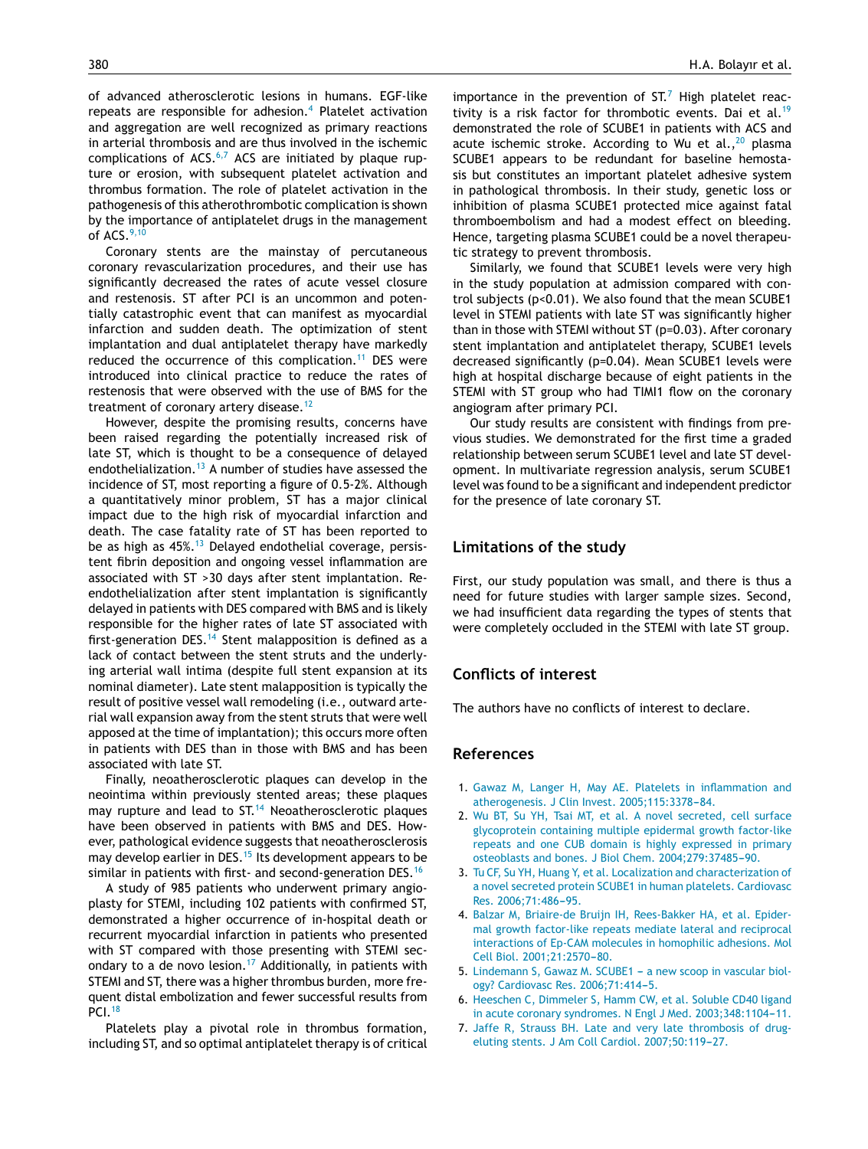<span id="page-5-0"></span>of advanced atherosclerotic lesions in humans. EGF-like repeats are responsible for adhesion.<sup>4</sup> Platelet activation and aggregation are well recognized as primary reactions in arterial thrombosis and are thus involved in the ischemic complications of  $ACS<sub>0</sub>$ <sup>6,7</sup> ACS are initiated by plaque rupture or erosion, with subsequent platelet activation and thrombus formation. The role of platelet activation in the pathogenesis of this atherothrombotic complication is shown by the importance of antiplatelet drugs in the management of ACS.[9,10](#page-6-0)

Coronary stents are the mainstay of percutaneous coronary revascularization procedures, and their use has significantly decreased the rates of acute vessel closure and restenosis. ST after PCI is an uncommon and potentially catastrophic event that can manifest as myocardial infarction and sudden death. The optimization of stent implantation and dual antiplatelet therapy have markedly reduced the occurrence of this complication.<sup>[11](#page-6-0)</sup> DES were introduced into clinical practice to reduce the rates of restenosis that were observed with the use of BMS for the treatment of coronary artery disease.<sup>[12](#page-6-0)</sup>

However, despite the promising results, concerns have been raised regarding the potentially increased risk of late ST, which is thought to be a consequence of delayed endothelialization.<sup>[13](#page-6-0)</sup> A number of studies have assessed the incidence of ST, most reporting a figure of 0.5-2%. Although a quantitatively minor problem, ST has a major clinical impact due to the high risk of myocardial infarction and death. The case fatality rate of ST has been reported to be as high as  $45\%$ .<sup>[13](#page-6-0)</sup> Delayed endothelial coverage, persistent fibrin deposition and ongoing vessel inflammation are associated with ST >30 days after stent implantation. Reendothelialization after stent implantation is significantly delayed in patients with DES compared with BMS and is likely responsible for the higher rates of late ST associated with first-generation DES.<sup>[14](#page-6-0)</sup> Stent malapposition is defined as a lack of contact between the stent struts and the underlying arterial wall intima (despite full stent expansion at its nominal diameter). Late stent malapposition is typically the result of positive vessel wall remodeling (i.e., outward arterial wall expansion away from the stent struts that were well apposed at the time of implantation); this occurs more often in patients with DES than in those with BMS and has been associated with late ST.

Finally, neoatherosclerotic plaques can develop in the neointima within previously stented areas; these plaques may rupture and lead to ST.<sup>[14](#page-6-0)</sup> Neoatherosclerotic plaques have been observed in patients with BMS and DES. However, pathological evidence suggests that neoatherosclerosis may develop earlier in DES.<sup>[15](#page-6-0)</sup> Its development appears to be similar in patients with first- and second-generation DES.<sup>[16](#page-6-0)</sup>

A study of 985 patients who underwent primary angioplasty for STEMI, including 102 patients with confirmed ST, demonstrated a higher occurrence of in-hospital death or recurrent myocardial infarction in patients who presented with ST compared with those presenting with STEMI sec-ondary to a de novo lesion.<sup>[17](#page-6-0)</sup> Additionally, in patients with STEMI and ST, there was a higher thrombus burden, more frequent distal embolization and fewer successful results from PCI.[18](#page-6-0)

Platelets play a pivotal role in thrombus formation, including ST, and so optimal antiplatelet therapy is of critical

importance in the prevention of  $ST<sup>7</sup>$  High platelet reac-tivity is a risk factor for thrombotic events. Dai et al.<sup>[19](#page-6-0)</sup> demonstrated the role of SCUBE1 in patients with ACS and acute ischemic stroke. According to Wu et al.,  $20$  plasma SCUBE1 appears to be redundant for baseline hemostasis but constitutes an important platelet adhesive system in pathological thrombosis. In their study, genetic loss or inhibition of plasma SCUBE1 protected mice against fatal thromboembolism and had a modest effect on bleeding. Hence, targeting plasma SCUBE1 could be a novel therapeutic strategy to prevent thrombosis.

Similarly, we found that SCUBE1 levels were very high in the study population at admission compared with control subjects (p<0.01). We also found that the mean SCUBE1 level in STEMI patients with late ST was significantly higher than in those with STEMI without ST (p=0.03). After coronary stent implantation and antiplatelet therapy, SCUBE1 levels decreased significantly (p=0.04). Mean SCUBE1 levels were high at hospital discharge because of eight patients in the STEMI with ST group who had TIMI1 flow on the coronary angiogram after primary PCI.

Our study results are consistent with findings from previous studies. We demonstrated for the first time a graded relationship between serum SCUBE1 level and late ST development. In multivariate regression analysis, serum SCUBE1 level was found to be a significant and independent predictor for the presence of late coronary ST.

#### **Limitations of the study**

First, our study population was small, and there is thus a need for future studies with larger sample sizes. Second, we had insufficient data regarding the types of stents that were completely occluded in the STEMI with late ST group.

## **Conflicts of interest**

The authors have no conflicts of interest to declare.

#### **References**

- 1. [Gawaz](http://refhub.elsevier.com/S0870-2551(17)30257-3/sbref0115) [M,](http://refhub.elsevier.com/S0870-2551(17)30257-3/sbref0115) [Langer](http://refhub.elsevier.com/S0870-2551(17)30257-3/sbref0115) [H,](http://refhub.elsevier.com/S0870-2551(17)30257-3/sbref0115) [May](http://refhub.elsevier.com/S0870-2551(17)30257-3/sbref0115) [AE.](http://refhub.elsevier.com/S0870-2551(17)30257-3/sbref0115) [Platelets](http://refhub.elsevier.com/S0870-2551(17)30257-3/sbref0115) [in](http://refhub.elsevier.com/S0870-2551(17)30257-3/sbref0115) [inflammation](http://refhub.elsevier.com/S0870-2551(17)30257-3/sbref0115) [and](http://refhub.elsevier.com/S0870-2551(17)30257-3/sbref0115) [atherogenesis.](http://refhub.elsevier.com/S0870-2551(17)30257-3/sbref0115) [J](http://refhub.elsevier.com/S0870-2551(17)30257-3/sbref0115) [Clin](http://refhub.elsevier.com/S0870-2551(17)30257-3/sbref0115) [Invest.](http://refhub.elsevier.com/S0870-2551(17)30257-3/sbref0115) 2005;115:3378-84.
- 2. [Wu](http://refhub.elsevier.com/S0870-2551(17)30257-3/sbref0120) [BT,](http://refhub.elsevier.com/S0870-2551(17)30257-3/sbref0120) [Su](http://refhub.elsevier.com/S0870-2551(17)30257-3/sbref0120) [YH,](http://refhub.elsevier.com/S0870-2551(17)30257-3/sbref0120) [Tsai](http://refhub.elsevier.com/S0870-2551(17)30257-3/sbref0120) [MT,](http://refhub.elsevier.com/S0870-2551(17)30257-3/sbref0120) [et](http://refhub.elsevier.com/S0870-2551(17)30257-3/sbref0120) [al.](http://refhub.elsevier.com/S0870-2551(17)30257-3/sbref0120) [A](http://refhub.elsevier.com/S0870-2551(17)30257-3/sbref0120) [novel](http://refhub.elsevier.com/S0870-2551(17)30257-3/sbref0120) [secreted,](http://refhub.elsevier.com/S0870-2551(17)30257-3/sbref0120) [cell](http://refhub.elsevier.com/S0870-2551(17)30257-3/sbref0120) [surface](http://refhub.elsevier.com/S0870-2551(17)30257-3/sbref0120) [glycoprotein](http://refhub.elsevier.com/S0870-2551(17)30257-3/sbref0120) [containing](http://refhub.elsevier.com/S0870-2551(17)30257-3/sbref0120) [multiple](http://refhub.elsevier.com/S0870-2551(17)30257-3/sbref0120) [epidermal](http://refhub.elsevier.com/S0870-2551(17)30257-3/sbref0120) [growth](http://refhub.elsevier.com/S0870-2551(17)30257-3/sbref0120) [factor-like](http://refhub.elsevier.com/S0870-2551(17)30257-3/sbref0120) [repeats](http://refhub.elsevier.com/S0870-2551(17)30257-3/sbref0120) [and](http://refhub.elsevier.com/S0870-2551(17)30257-3/sbref0120) [one](http://refhub.elsevier.com/S0870-2551(17)30257-3/sbref0120) [CUB](http://refhub.elsevier.com/S0870-2551(17)30257-3/sbref0120) [domain](http://refhub.elsevier.com/S0870-2551(17)30257-3/sbref0120) [is](http://refhub.elsevier.com/S0870-2551(17)30257-3/sbref0120) [highly](http://refhub.elsevier.com/S0870-2551(17)30257-3/sbref0120) [expressed](http://refhub.elsevier.com/S0870-2551(17)30257-3/sbref0120) [in](http://refhub.elsevier.com/S0870-2551(17)30257-3/sbref0120) [primary](http://refhub.elsevier.com/S0870-2551(17)30257-3/sbref0120) [osteoblasts](http://refhub.elsevier.com/S0870-2551(17)30257-3/sbref0120) [and](http://refhub.elsevier.com/S0870-2551(17)30257-3/sbref0120) [bones.](http://refhub.elsevier.com/S0870-2551(17)30257-3/sbref0120) [J](http://refhub.elsevier.com/S0870-2551(17)30257-3/sbref0120) [Biol](http://refhub.elsevier.com/S0870-2551(17)30257-3/sbref0120) [Chem.](http://refhub.elsevier.com/S0870-2551(17)30257-3/sbref0120) [2004;279:37485](http://refhub.elsevier.com/S0870-2551(17)30257-3/sbref0120)[-90.](http://refhub.elsevier.com/S0870-2551(17)30257-3/sbref0120)
- 3. [Tu](http://refhub.elsevier.com/S0870-2551(17)30257-3/sbref0125) [CF,](http://refhub.elsevier.com/S0870-2551(17)30257-3/sbref0125) [Su](http://refhub.elsevier.com/S0870-2551(17)30257-3/sbref0125) [YH,](http://refhub.elsevier.com/S0870-2551(17)30257-3/sbref0125) [Huang](http://refhub.elsevier.com/S0870-2551(17)30257-3/sbref0125) [Y,](http://refhub.elsevier.com/S0870-2551(17)30257-3/sbref0125) [et](http://refhub.elsevier.com/S0870-2551(17)30257-3/sbref0125) [al.](http://refhub.elsevier.com/S0870-2551(17)30257-3/sbref0125) [Localization](http://refhub.elsevier.com/S0870-2551(17)30257-3/sbref0125) [and](http://refhub.elsevier.com/S0870-2551(17)30257-3/sbref0125) [characterization](http://refhub.elsevier.com/S0870-2551(17)30257-3/sbref0125) [of](http://refhub.elsevier.com/S0870-2551(17)30257-3/sbref0125) [a](http://refhub.elsevier.com/S0870-2551(17)30257-3/sbref0125) [novel](http://refhub.elsevier.com/S0870-2551(17)30257-3/sbref0125) [secreted](http://refhub.elsevier.com/S0870-2551(17)30257-3/sbref0125) [protein](http://refhub.elsevier.com/S0870-2551(17)30257-3/sbref0125) [SCUBE1](http://refhub.elsevier.com/S0870-2551(17)30257-3/sbref0125) [in](http://refhub.elsevier.com/S0870-2551(17)30257-3/sbref0125) [human](http://refhub.elsevier.com/S0870-2551(17)30257-3/sbref0125) [platelets.](http://refhub.elsevier.com/S0870-2551(17)30257-3/sbref0125) [Cardiovasc](http://refhub.elsevier.com/S0870-2551(17)30257-3/sbref0125) [Res.](http://refhub.elsevier.com/S0870-2551(17)30257-3/sbref0125) [2006;71:486-](http://refhub.elsevier.com/S0870-2551(17)30257-3/sbref0125)[95.](http://refhub.elsevier.com/S0870-2551(17)30257-3/sbref0125)
- 4. [Balzar](http://refhub.elsevier.com/S0870-2551(17)30257-3/sbref0130) [M,](http://refhub.elsevier.com/S0870-2551(17)30257-3/sbref0130) [Briaire-de](http://refhub.elsevier.com/S0870-2551(17)30257-3/sbref0130) [Bruijn](http://refhub.elsevier.com/S0870-2551(17)30257-3/sbref0130) [IH,](http://refhub.elsevier.com/S0870-2551(17)30257-3/sbref0130) [Rees-Bakker](http://refhub.elsevier.com/S0870-2551(17)30257-3/sbref0130) [HA,](http://refhub.elsevier.com/S0870-2551(17)30257-3/sbref0130) [et](http://refhub.elsevier.com/S0870-2551(17)30257-3/sbref0130) [al.](http://refhub.elsevier.com/S0870-2551(17)30257-3/sbref0130) [Epider](http://refhub.elsevier.com/S0870-2551(17)30257-3/sbref0130)[mal](http://refhub.elsevier.com/S0870-2551(17)30257-3/sbref0130) [growth](http://refhub.elsevier.com/S0870-2551(17)30257-3/sbref0130) [factor-like](http://refhub.elsevier.com/S0870-2551(17)30257-3/sbref0130) [repeats](http://refhub.elsevier.com/S0870-2551(17)30257-3/sbref0130) [mediate](http://refhub.elsevier.com/S0870-2551(17)30257-3/sbref0130) [lateral](http://refhub.elsevier.com/S0870-2551(17)30257-3/sbref0130) [and](http://refhub.elsevier.com/S0870-2551(17)30257-3/sbref0130) [reciprocal](http://refhub.elsevier.com/S0870-2551(17)30257-3/sbref0130) [interactions](http://refhub.elsevier.com/S0870-2551(17)30257-3/sbref0130) [of](http://refhub.elsevier.com/S0870-2551(17)30257-3/sbref0130) [Ep-CAM](http://refhub.elsevier.com/S0870-2551(17)30257-3/sbref0130) [molecules](http://refhub.elsevier.com/S0870-2551(17)30257-3/sbref0130) [in](http://refhub.elsevier.com/S0870-2551(17)30257-3/sbref0130) [homophilic](http://refhub.elsevier.com/S0870-2551(17)30257-3/sbref0130) [adhesions.](http://refhub.elsevier.com/S0870-2551(17)30257-3/sbref0130) [Mol](http://refhub.elsevier.com/S0870-2551(17)30257-3/sbref0130) [Cell](http://refhub.elsevier.com/S0870-2551(17)30257-3/sbref0130) [Biol.](http://refhub.elsevier.com/S0870-2551(17)30257-3/sbref0130) 2001;21:2570-80.
- 5. [Lindemann](http://refhub.elsevier.com/S0870-2551(17)30257-3/sbref0135) [S,](http://refhub.elsevier.com/S0870-2551(17)30257-3/sbref0135) [Gawaz](http://refhub.elsevier.com/S0870-2551(17)30257-3/sbref0135) [M.](http://refhub.elsevier.com/S0870-2551(17)30257-3/sbref0135) [SCUBE1](http://refhub.elsevier.com/S0870-2551(17)30257-3/sbref0135) [a](http://refhub.elsevier.com/S0870-2551(17)30257-3/sbref0135) [new](http://refhub.elsevier.com/S0870-2551(17)30257-3/sbref0135) [scoop](http://refhub.elsevier.com/S0870-2551(17)30257-3/sbref0135) [in](http://refhub.elsevier.com/S0870-2551(17)30257-3/sbref0135) [vascular](http://refhub.elsevier.com/S0870-2551(17)30257-3/sbref0135) [biol](http://refhub.elsevier.com/S0870-2551(17)30257-3/sbref0135)[ogy?](http://refhub.elsevier.com/S0870-2551(17)30257-3/sbref0135) [Cardiovasc](http://refhub.elsevier.com/S0870-2551(17)30257-3/sbref0135) [Res.](http://refhub.elsevier.com/S0870-2551(17)30257-3/sbref0135) 2006;71:414-5.
- 6. [Heeschen](http://refhub.elsevier.com/S0870-2551(17)30257-3/sbref0140) [C,](http://refhub.elsevier.com/S0870-2551(17)30257-3/sbref0140) [Dimmeler](http://refhub.elsevier.com/S0870-2551(17)30257-3/sbref0140) [S,](http://refhub.elsevier.com/S0870-2551(17)30257-3/sbref0140) [Hamm](http://refhub.elsevier.com/S0870-2551(17)30257-3/sbref0140) [CW,](http://refhub.elsevier.com/S0870-2551(17)30257-3/sbref0140) [et](http://refhub.elsevier.com/S0870-2551(17)30257-3/sbref0140) [al.](http://refhub.elsevier.com/S0870-2551(17)30257-3/sbref0140) [Soluble](http://refhub.elsevier.com/S0870-2551(17)30257-3/sbref0140) [CD40](http://refhub.elsevier.com/S0870-2551(17)30257-3/sbref0140) [ligand](http://refhub.elsevier.com/S0870-2551(17)30257-3/sbref0140) [in](http://refhub.elsevier.com/S0870-2551(17)30257-3/sbref0140) [acute](http://refhub.elsevier.com/S0870-2551(17)30257-3/sbref0140) [coronary](http://refhub.elsevier.com/S0870-2551(17)30257-3/sbref0140) [syndromes.](http://refhub.elsevier.com/S0870-2551(17)30257-3/sbref0140) [N](http://refhub.elsevier.com/S0870-2551(17)30257-3/sbref0140) [Engl](http://refhub.elsevier.com/S0870-2551(17)30257-3/sbref0140) [J](http://refhub.elsevier.com/S0870-2551(17)30257-3/sbref0140) [Med.](http://refhub.elsevier.com/S0870-2551(17)30257-3/sbref0140) 2003;348:1104-11.
- 7. [Jaffe](http://refhub.elsevier.com/S0870-2551(17)30257-3/sbref0145) [R,](http://refhub.elsevier.com/S0870-2551(17)30257-3/sbref0145) [Strauss](http://refhub.elsevier.com/S0870-2551(17)30257-3/sbref0145) [BH.](http://refhub.elsevier.com/S0870-2551(17)30257-3/sbref0145) [Late](http://refhub.elsevier.com/S0870-2551(17)30257-3/sbref0145) [and](http://refhub.elsevier.com/S0870-2551(17)30257-3/sbref0145) [very](http://refhub.elsevier.com/S0870-2551(17)30257-3/sbref0145) [late](http://refhub.elsevier.com/S0870-2551(17)30257-3/sbref0145) [thrombosis](http://refhub.elsevier.com/S0870-2551(17)30257-3/sbref0145) [of](http://refhub.elsevier.com/S0870-2551(17)30257-3/sbref0145) [drug](http://refhub.elsevier.com/S0870-2551(17)30257-3/sbref0145)[eluting](http://refhub.elsevier.com/S0870-2551(17)30257-3/sbref0145) [stents.](http://refhub.elsevier.com/S0870-2551(17)30257-3/sbref0145) [J](http://refhub.elsevier.com/S0870-2551(17)30257-3/sbref0145) [Am](http://refhub.elsevier.com/S0870-2551(17)30257-3/sbref0145) [Coll](http://refhub.elsevier.com/S0870-2551(17)30257-3/sbref0145) [Cardiol.](http://refhub.elsevier.com/S0870-2551(17)30257-3/sbref0145) 2007;50:119-27.